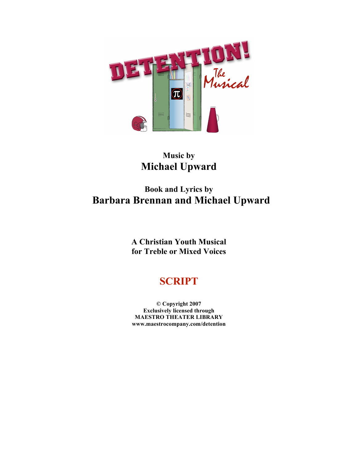

# **Music by Michael Upward**

# **Book and Lyrics by Barbara Brennan and Michael Upward**

**A Christian Youth Musical for Treble or Mixed Voices**

# **SCRIPT**

**© Copyright 2007 Exclusively licensed through MAESTRO THEATER LIBRARY www.maestrocompany.com/detention**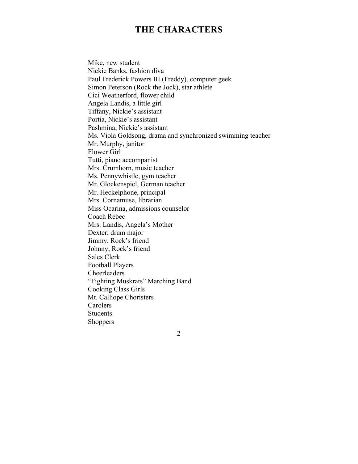# **THE CHARACTERS**

Mike, new student Nickie Banks, fashion diva Paul Frederick Powers III (Freddy), computer geek Simon Peterson (Rock the Jock), star athlete Cici Weatherford, flower child Angela Landis, a little girl Tiffany, Nickie's assistant Portia, Nickie's assistant Pashmina, Nickie's assistant Ms. Viola Goldsong, drama and synchronized swimming teacher Mr. Murphy, janitor Flower Girl Tutti, piano accompanist Mrs. Crumhorn, music teacher Ms. Pennywhistle, gym teacher Mr. Glockenspiel, German teacher Mr. Heckelphone, principal Mrs. Cornamuse, librarian Miss Ocarina, admissions counselor Coach Rebec Mrs. Landis, Angela's Mother Dexter, drum major Jimmy, Rock's friend Johnny, Rock's friend Sales Clerk Football Players Cheerleaders "Fighting Muskrats" Marching Band Cooking Class Girls Mt. Calliope Choristers Carolers Students Shoppers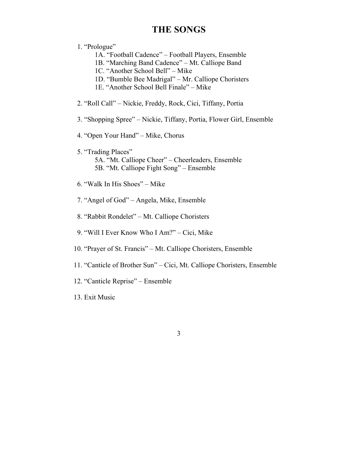# **THE SONGS**

1. "Prologue"

- 1A. "Football Cadence" Football Players, Ensemble
- 1B. "Marching Band Cadence" Mt. Calliope Band
- 1C. "Another School Bell" Mike
- 1D. "Bumble Bee Madrigal" Mr. Calliope Choristers
- 1E. "Another School Bell Finale" Mike
- 2. "Roll Call" Nickie, Freddy, Rock, Cici, Tiffany, Portia
- 3. "Shopping Spree" Nickie, Tiffany, Portia, Flower Girl, Ensemble
- 4. "Open Your Hand" Mike, Chorus
- 5. "Trading Places" 5A. "Mt. Calliope Cheer" – Cheerleaders, Ensemble 5B. "Mt. Calliope Fight Song" – Ensemble
- 6. "Walk In His Shoes" Mike
- 7. "Angel of God" Angela, Mike, Ensemble
- 8. "Rabbit Rondelet" Mt. Calliope Choristers
- 9. "Will I Ever Know Who I Am?" Cici, Mike
- 10. "Prayer of St. Francis" Mt. Calliope Choristers, Ensemble
- 11. "Canticle of Brother Sun" Cici, Mt. Calliope Choristers, Ensemble

- 12. "Canticle Reprise" Ensemble
- 13. Exit Music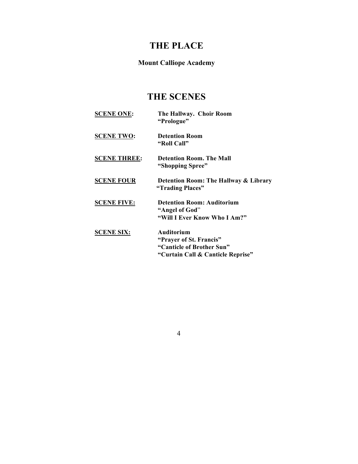# **THE PLACE**

# **Mount Calliope Academy**

# **THE SCENES**

| <b>SCENE ONE:</b>   | The Hallway. Choir Room<br>"Prologue"                                                                          |
|---------------------|----------------------------------------------------------------------------------------------------------------|
| <b>SCENE TWO:</b>   | <b>Detention Room</b><br>"Roll Call"                                                                           |
| <b>SCENE THREE:</b> | <b>Detention Room. The Mall</b><br>"Shopping Spree"                                                            |
| <b>SCENE FOUR</b>   | Detention Room: The Hallway & Library<br>"Trading Places"                                                      |
| <b>SCENE FIVE:</b>  | <b>Detention Room: Auditorium</b><br>"Angel of God"<br>"Will I Ever Know Who I Am?"                            |
| <b>SCENE SIX:</b>   | <b>Auditorium</b><br>"Prayer of St. Francis"<br>"Canticle of Brother Sun"<br>"Curtain Call & Canticle Reprise" |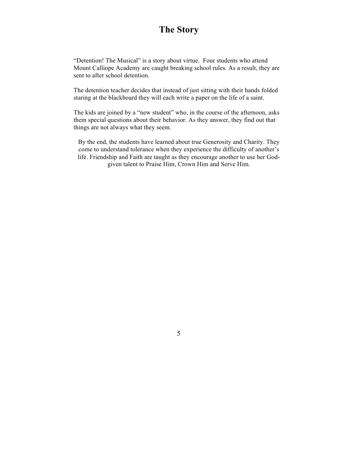# **The Story**

"Detention! The Musical" is a story about virtue. Four students who attend Mount Calliope Academy are caught breaking school rules. As a result, they are sent to after school detention.

The detention teacher decides that instead of just sitting with their hands folded staring at the blackboard they will each write a paper on the life of a saint.

The kids are joined by a "new student" who, in the course of the afternoon, asks them special questions about their behavior. As they answer, they find out that things are not always what they seem.

By the end, the students have learned about true Generosity and Charity. They come to understand tolerance when they experience the difficulty of another's life. Friendship and Faith are taught as they encourage another to use her Godgiven talent to Praise Him, Crown Him and Serve Him.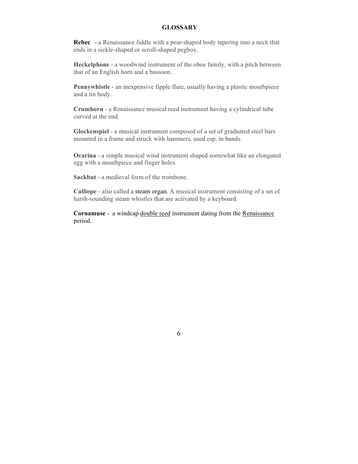### **GLOSSARY**

**Rebec** - a Renaissance fiddle with a pear-shaped body tapering into a neck that ends in a sickle-shaped or scroll-shaped pegbox.

**Heckelphone** - a woodwind instrument of the oboe family, with a pitch between that of an English horn and a bassoon.

**Pennywhistle** - an inexpensive fipple flute, usually having a plastic mouthpiece and a tin body.

**Crumhorn** - a Renaissance musical reed instrument having a cylindrical tube curved at the end.

**Glockenspiel** - a musical instrument composed of a set of graduated steel bars mounted in a frame and struck with hammers, used esp. in bands.

**Ocarina** - a simple musical wind instrument shaped somewhat like an elongated egg with a mouthpiece and finger holes.

**Sackbut** - a medieval form of the trombone.

**Calliope** - also called a steam organ. A musical instrument consisting of a set of harsh-sounding steam whistles that are activated by a keyboard.

**Cornamuse** - a windcap double reed instrument dating from the Renaissance period.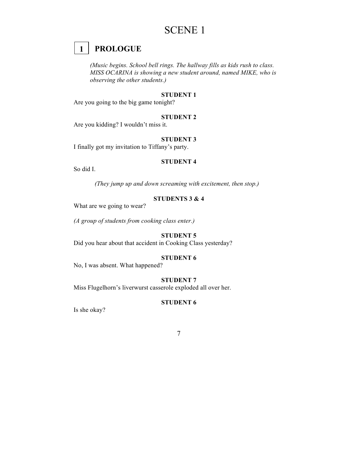# **PROLOGUE**

*(Music begins. School bell rings. The hallway fills as kids rush to class. MISS OCARINA is showing a new student around, named MIKE, who is observing the other students.)*

### **STUDENT 1**

Are you going to the big game tonight?

### **STUDENT 2**

Are you kidding? I wouldn't miss it.

#### **STUDENT 3**

I finally got my invitation to Tiffany's party.

### **STUDENT 4**

So did I.

**1**

*(They jump up and down screaming with excitement, then stop.)*

### **STUDENTS 3 & 4**

What are we going to wear?

*(A group of students from cooking class enter.)*

#### **STUDENT 5**

Did you hear about that accident in Cooking Class yesterday?

### **STUDENT 6**

No, I was absent. What happened?

### **STUDENT 7**

Miss Flugelhorn's liverwurst casserole exploded all over her.

#### **STUDENT 6**

Is she okay?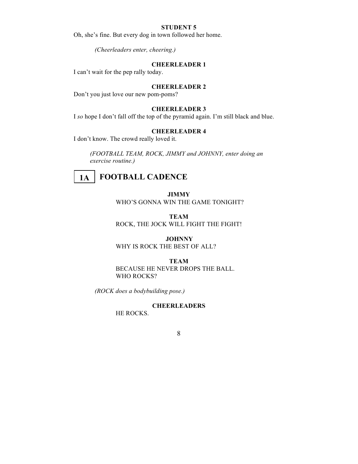#### **STUDENT 5**

Oh, she's fine. But every dog in town followed her home.

*(Cheerleaders enter, cheering.)*

### **CHEERLEADER 1**

I can't wait for the pep rally today.

### **CHEERLEADER 2**

Don't you just love our new pom-poms?

#### **CHEERLEADER 3**

I *so* hope I don't fall off the top of the pyramid again. I'm still black and blue.

#### **CHEERLEADER 4**

I don't know. The crowd really loved it.

*(FOOTBALL TEAM, ROCK, JIMMY and JOHNNY, enter doing an exercise routine.)*

#### **FOOTBALL CADENCE 1A**

**JIMMY** WHO'S GONNA WIN THE GAME TONIGHT?

**TEAM** ROCK, THE JOCK WILL FIGHT THE FIGHT!

**JOHNNY**

WHY IS ROCK THE BEST OF ALL?

#### **TEAM**

BECAUSE HE NEVER DROPS THE BALL. WHO ROCKS?

*(ROCK does a bodybuilding pose.)*

#### **CHEERLEADERS**

HE ROCKS.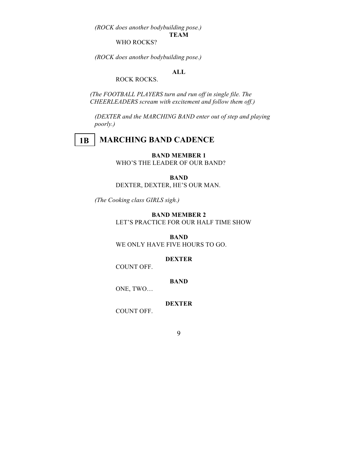*(ROCK does another bodybuilding pose.)* **TEAM**

WHO ROCKS?

*(ROCK does another bodybuilding pose.)*

**ALL**

ROCK ROCKS.

*(The FOOTBALL PLAYERS turn and run off in single file. The CHEERLEADERS scream with excitement and follow them off.)*

*(DEXTER and the MARCHING BAND enter out of step and playing poorly.)*

#### **MARCHING BAND CADENCE 1B**

# **BAND MEMBER 1**

WHO'S THE LEADER OF OUR BAND?

**BAND** 

### DEXTER, DEXTER, HE'S OUR MAN.

*(The Cooking class GIRLS sigh.)*

**BAND MEMBER 2** LET'S PRACTICE FOR OUR HALF TIME SHOW

**BAND** 

WE ONLY HAVE FIVE HOURS TO GO.

### **DEXTER**

COUNT OFF.

**BAND** 

ONE, TWO…

### **DEXTER**

COUNT OFF.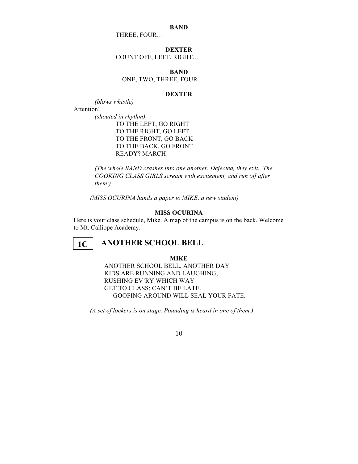#### **BAND**

THREE, FOUR…

**DEXTER** COUNT OFF, LEFT, RIGHT…

**BAND**  …ONE, TWO, THREE, FOUR.

### **DEXTER**

*(blows whistle)*

Attention!

*(shouted in rhythm)*

TO THE LEFT, GO RIGHT TO THE RIGHT, GO LEFT TO THE FRONT, GO BACK TO THE BACK, GO FRONT READY? MARCH!

*(The whole BAND crashes into one another. Dejected, they exit. The COOKING CLASS GIRLS scream with excitement, and run off after them.)*

*(MISS OCURINA hands a paper to MIKE, a new student)*

### **MISS OCURINA**

Here is your class schedule, Mike. A map of the campus is on the back. Welcome to Mt. Calliope Academy.

#### **ANOTHER SCHOOL BELL 1C**

#### **MIKE**

ANOTHER SCHOOL BELL, ANOTHER DAY KIDS ARE RUNNING AND LAUGHING; RUSHING EV'RY WHICH WAY GET TO CLASS; CAN'T BE LATE. GOOFING AROUND WILL SEAL YOUR FATE.

*(A set of lockers is on stage. Pounding is heard in one of them.)*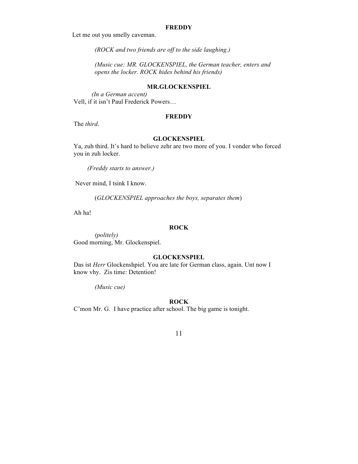#### **FREDDY**

Let me out you smelly caveman.

*(ROCK and two friends are off to the side laughing.)*

*(Music cue: MR. GLOCKENSPIEL, the German teacher, enters and opens the locker. ROCK hides behind his friends)*

### **MR.GLOCKENSPIEL**

*(In a German accent)* Vell, if it isn't Paul Frederick Powers…

### **FREDDY**

The *third*.

#### **GLOCKENSPIEL**

Ya, zuh third. It's hard to believe zehr are two more of you. I vonder who forced you in zuh locker.

*(Freddy starts to answer.)*

Never mind, I tsink I know.

(*GLOCKENSPIEL approaches the boys, separates them*)

Ah ha!

#### **ROCK**

*(politely)* Good morning, Mr. Glockenspiel.

#### **GLOCKENSPIEL**

Das ist *Herr* Glockenshpiel. You are late for German class, again. Unt now I know vhy. Zis time: Detention!

*(Music cue)*

### **ROCK**

C'mon Mr. G. I have practice after school. The big game is tonight.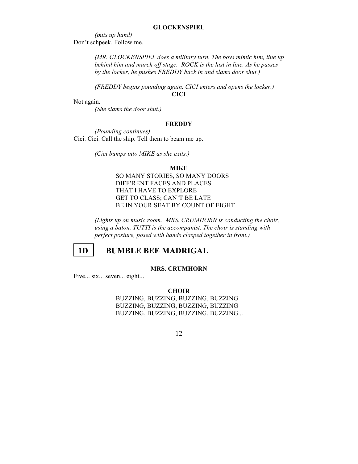#### **GLOCKENSPIEL**

*(puts up hand)* Don't schpeek. Follow me.

> *(MR. GLOCKENSPIEL does a military turn. The boys mimic him, line up behind him and march off stage. ROCK is the last in line. As he passes by the locker, he pushes FREDDY back in and slams door shut.)*

*(FREDDY begins pounding again. CICI enters and opens the locker.)* **CICI**

Not again.

*(She slams the door shut.)*

#### **FREDDY**

*(Pounding continues)* Cici. Cici. Call the ship. Tell them to beam me up.

*(Cici bumps into MIKE as she exits.)*

#### **MIKE**

SO MANY STORIES, SO MANY DOORS DIFF'RENT FACES AND PLACES THAT I HAVE TO EXPLORE GET TO CLASS; CAN'T BE LATE BE IN YOUR SEAT BY COUNT OF EIGHT

*(Lights up on music room. MRS. CRUMHORN is conducting the choir, using a baton. TUTTI is the accompanist. The choir is standing with perfect posture, posed with hands clasped together in front.)*

#### **BUMBLE BEE MADRIGAL 1D**

### **MRS. CRUMHORN**

Five... six... seven... eight...

#### **CHOIR**

BUZZING, BUZZING, BUZZING, BUZZING BUZZING, BUZZING, BUZZING, BUZZING BUZZING, BUZZING, BUZZING, BUZZING...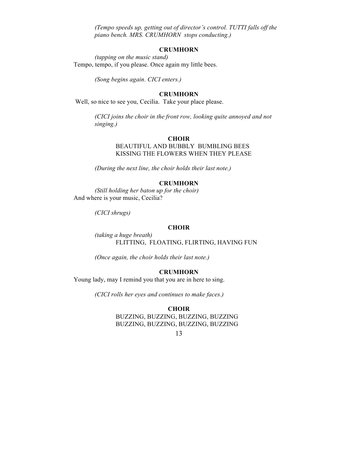*(Tempo speeds up, getting out of director's control. TUTTI falls off the piano bench. MRS. CRUMHORN stops conducting.)* 

#### **CRUMHORN**

*(tapping on the music stand)* Tempo, tempo, if you please. Once again my little bees.

*(Song begins again. CICI enters.)* 

#### **CRUMHORN**

Well, so nice to see you, Cecilia. Take your place please.

*(CICI joins the choir in the front row, looking quite annoyed and not singing.)* 

### **CHOIR**

BEAUTIFUL AND BUBBLY BUMBLING BEES KISSING THE FLOWERS WHEN THEY PLEASE

*(During the next line, the choir holds their last note.)*

#### **CRUMHORN**

*(Still holding her baton up for the choir)*  And where is your music, Cecilia?

*(CICI shrugs)*

#### **CHOIR**

*(taking a huge breath)* FLITTING, FLOATING, FLIRTING, HAVING FUN

*(Once again, the choir holds their last note.)*

#### **CRUMHORN**

Young lady, may I remind you that you are in here to sing.

*(CICI rolls her eyes and continues to make faces.)*

#### **CHOIR**

BUZZING, BUZZING, BUZZING, BUZZING BUZZING, BUZZING, BUZZING, BUZZING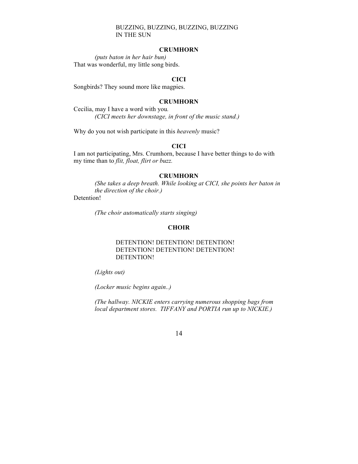#### BUZZING, BUZZING, BUZZING, BUZZING IN THE SUN

#### **CRUMHORN**

*(puts baton in her hair bun)* That was wonderful, my little song birds.

#### **CICI**

Songbirds? They sound more like magpies.

### **CRUMHORN**

Cecilia, may I have a word with you*. (CICI meets her downstage, in front of the music stand.)*

Why do you not wish participate in this *heavenly* music?

#### **CICI**

I am not participating, Mrs. Crumhorn, because I have better things to do with my time than to *flit, float, flirt or buzz.*

### **CRUMHORN**

*(She takes a deep breath. While looking at CICI, she points her baton in the direction of the choir.)*

### Detention!

*(The choir automatically starts singing)* 

#### **CHOIR**

### DETENTION! DETENTION! DETENTION! DETENTION! DETENTION! DETENTION! DETENTION!

#### *(Lights out)*

*(Locker music begins again..)*

*(The hallway. NICKIE enters carrying numerous shopping bags from local department stores. TIFFANY and PORTIA run up to NICKIE.)*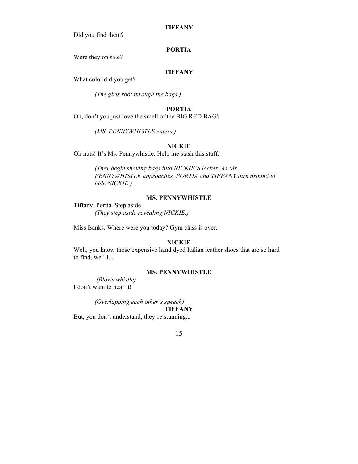#### **TIFFANY**

Did you find them?

### **PORTIA**

Were they on sale?

### **TIFFANY**

What color did you get?

*(The girls root through the bags.)*

### **PORTIA**

Oh, don't you just love the smell of the BIG RED BAG?

*(MS. PENNYWHISTLE enters.)*

### **NICKIE**

Oh nuts! It's Ms. Pennywhistle. Help me stash this stuff.

*(They begin shoving bags into NICKIE'S locker. As Ms. PENNYWHISTLE approaches, PORTIA and TIFFANY turn around to hide NICKIE.)*

### **MS. PENNYWHISTLE**

Tiffany. Portia. Step aside. *(They step aside revealing NICKIE.)*

Miss Banks. Where were you today? Gym class is over.

### **NICKIE**

Well, you know those expensive hand dyed Italian leather shoes that are so hard to find, well I...

#### **MS. PENNYWHISTLE**

 *(Blows whistle)* I don't want to hear it!

> *(Overlapping each other's speech)* **TIFFANY**

But, you don't understand, they're stunning...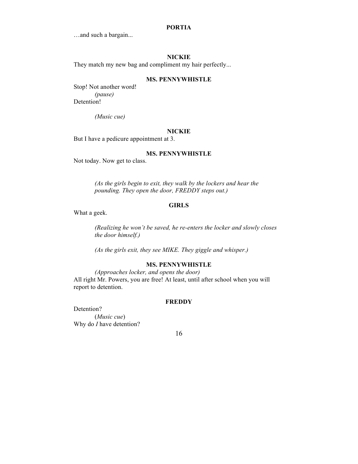### **PORTIA**

…and such a bargain...

#### **NICKIE**

They match my new bag and compliment my hair perfectly...

#### **MS. PENNYWHISTLE**

Stop! Not another word! *(pause)* Detention!

*(Music cue)*

#### **NICKIE**

But I have a pedicure appointment at 3.

#### **MS. PENNYWHISTLE**

Not today. Now get to class.

*(As the girls begin to exit, they walk by the lockers and hear the pounding. They open the door, FREDDY steps out.)* 

#### **GIRLS**

What a geek.

*(Realizing he won't be saved, he re-enters the locker and slowly closes the door himself.)*

*(As the girls exit, they see MIKE. They giggle and whisper.)*

### **MS. PENNYWHISTLE**

*(Approaches locker, and opens the door)* All right Mr. Powers, you are free! At least, until after school when you will report to detention.

#### **FREDDY**

Detention? (*Music cue*) Why do *I* have detention?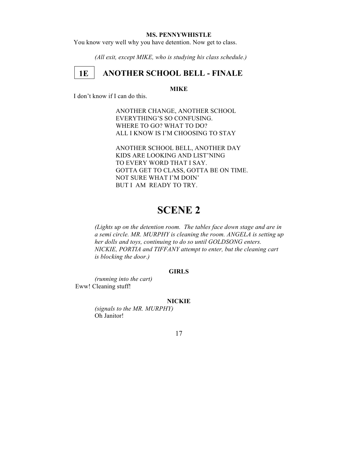#### **MS. PENNYWHISTLE**

You know very well why you have detention. Now get to class.

*(All exit, except MIKE, who is studying his class schedule.)*

### **ANOTHER SCHOOL BELL - FINALE**

#### **MIKE**

I don't know if I can do this.

**1E**

ANOTHER CHANGE, ANOTHER SCHOOL EVERYTHING'S SO CONFUSING. WHERE TO GO? WHAT TO DO? ALL I KNOW IS I'M CHOOSING TO STAY

ANOTHER SCHOOL BELL, ANOTHER DAY KIDS ARE LOOKING AND LIST'NING TO EVERY WORD THAT I SAY. GOTTA GET TO CLASS, GOTTA BE ON TIME. NOT SURE WHAT I'M DOIN' BUT I AM READY TO TRY.

# **SCENE 2**

*(Lights up on the detention room. The tables face down stage and are in a semi circle. MR. MURPHY is cleaning the room. ANGELA is setting up her dolls and toys, continuing to do so until GOLDSONG enters. NICKIE, PORTIA and TIFFANY attempt to enter, but the cleaning cart is blocking the door.)*

### **GIRLS**

*(running into the cart)* Eww! Cleaning stuff!

#### **NICKIE**

*(signals to the MR. MURPHY)* Oh Janitor!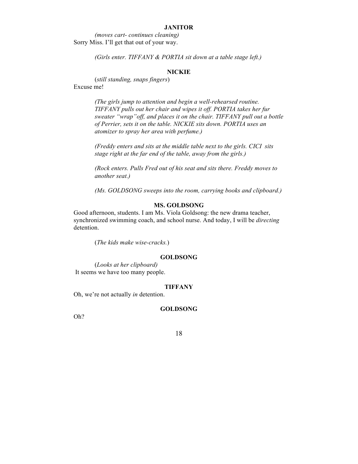#### **JANITOR**

*(moves cart- continues cleaning)* Sorry Miss. I'll get that out of your way.

*(Girls enter. TIFFANY & PORTIA sit down at a table stage left.)*

### **NICKIE**

(*still standing, snaps fingers*) Excuse me!

> *(The girls jump to attention and begin a well-rehearsed routine. TIFFANY pulls out her chair and wipes it off. PORTIA takes her fur sweater "wrap"off, and places it on the chair. TIFFANY pull out a bottle of Perrier, sets it on the table. NICKIE sits down. PORTIA uses an atomizer to spray her area with perfume.)*

*(Freddy enters and sits at the middle table next to the girls. CICI sits stage right at the far end of the table, away from the girls.)* 

*(Rock enters. Pulls Fred out of his seat and sits there. Freddy moves to another seat.)*

*(Ms. GOLDSONG sweeps into the room, carrying books and clipboard.)* 

#### **MS. GOLDSONG**

Good afternoon, students. I am Ms. Viola Goldsong: the new drama teacher, synchronized swimming coach, and school nurse. And today, I will be *directing*  detention.

(*The kids make wise-cracks.*)

#### **GOLDSONG**

(*Looks at her clipboard)* It seems we have too many people.

### **TIFFANY**

Oh, we're not actually *in* detention.

### **GOLDSONG**

Oh?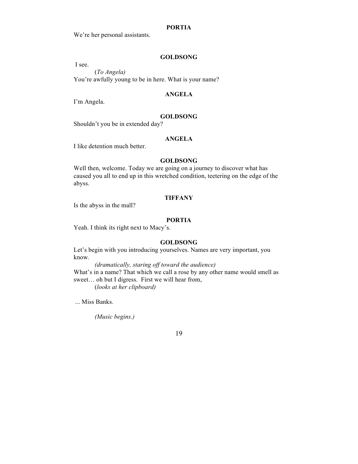#### **PORTIA**

We're her personal assistants.

#### **GOLDSONG**

I see.

(*To Angela)* You're awfully young to be in here. What is your name?

### **ANGELA**

I'm Angela.

### **GOLDSONG**

Shouldn't you be in extended day?

### **ANGELA**

I like detention much better.

### **GOLDSONG**

Well then, welcome. Today we are going on a journey to discover what has caused you all to end up in this wretched condition, teetering on the edge of the abyss.

### **TIFFANY**

Is the abyss in the mall?

### **PORTIA**

Yeah. I think its right next to Macy's.

### **GOLDSONG**

Let's begin with you introducing yourselves. Names are very important, you know*.* 

*(dramatically, staring off toward the audience)* What's in a name? That which we call a rose by any other name would smell as sweet… oh but I digress. First we will hear from, (*looks at her clipboard)*

... Miss Banks.

*(Music begins.)*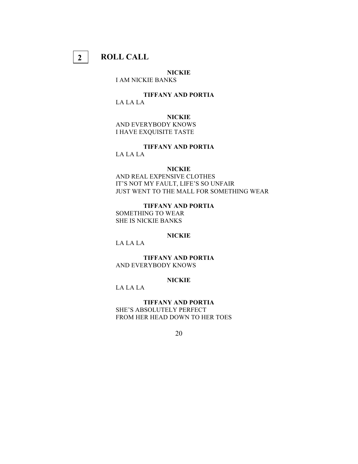

## **ROLL CALL**

### **NICKIE**

### I AM NICKIE BANKS

**TIFFANY AND PORTIA** LA LA LA

#### **NICKIE**

AND EVERYBODY KNOWS I HAVE EXQUISITE TASTE

### **TIFFANY AND PORTIA**

LA LA LA

#### **NICKIE**

AND REAL EXPENSIVE CLOTHES IT'S NOT MY FAULT, LIFE'S SO UNFAIR JUST WENT TO THE MALL FOR SOMETHING WEAR

**TIFFANY AND PORTIA** SOMETHING TO WEAR SHE IS NICKIE BANKS

#### **NICKIE**

LA LA LA

**TIFFANY AND PORTIA** AND EVERYBODY KNOWS

### **NICKIE**

LA LA LA

### **TIFFANY AND PORTIA**

SHE'S ABSOLUTELY PERFECT FROM HER HEAD DOWN TO HER TOES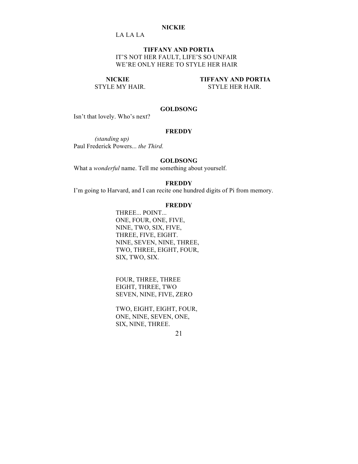### **NICKIE**

LA LA LA

### **TIFFANY AND PORTIA** IT'S NOT HER FAULT, LIFE'S SO UNFAIR WE'RE ONLY HERE TO STYLE HER HAIR

### **NICKIE TIFFANY AND PORTIA** STYLE MY HAIR. STYLE HER HAIR.

### **GOLDSONG**

Isn't that lovely. Who's next?

#### **FREDDY**

*(standing up)* Paul Frederick Powers... *the Third.*

#### **GOLDSONG**

What a *wonderful* name. Tell me something about yourself.

#### **FREDDY**

I'm going to Harvard, and I can recite one hundred digits of Pi from memory.

#### **FREDDY**

THREE... POINT... ONE, FOUR, ONE, FIVE, NINE, TWO, SIX, FIVE, THREE, FIVE, EIGHT. NINE, SEVEN, NINE, THREE, TWO, THREE, EIGHT, FOUR, SIX, TWO, SIX.

FOUR, THREE, THREE EIGHT, THREE, TWO SEVEN, NINE, FIVE, ZERO

TWO, EIGHT, EIGHT, FOUR, ONE, NINE, SEVEN, ONE, SIX, NINE, THREE.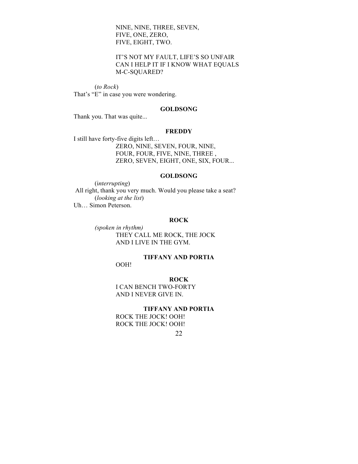NINE, NINE, THREE, SEVEN, FIVE, ONE, ZERO, FIVE, EIGHT, TWO.

### IT'S NOT MY FAULT, LIFE'S SO UNFAIR CAN I HELP IT IF I KNOW WHAT EQUALS M-C-SQUARED?

(*to Rock*) That's "E" in case you were wondering.

OOH!

#### **GOLDSONG**

Thank you. That was quite...

#### **FREDDY**

I still have forty-five digits left… ZERO, NINE, SEVEN, FOUR, NINE, FOUR, FOUR, FIVE, NINE, THREE , ZERO, SEVEN, EIGHT, ONE, SIX, FOUR...

### **GOLDSONG**

(i*nterrupting*) All right, thank you very much. Would you please take a seat? (*looking at the list*) Uh… Simon Peterson.

### **ROCK**

*(spoken in rhythm)* THEY CALL ME ROCK, THE JOCK AND I LIVE IN THE GYM.

**TIFFANY AND PORTIA**

**ROCK**

I CAN BENCH TWO-FORTY AND I NEVER GIVE IN.

### **TIFFANY AND PORTIA**

22 ROCK THE JOCK! OOH! ROCK THE JOCK! OOH!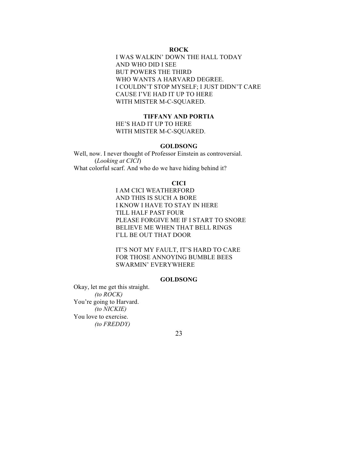#### **ROCK**

I WAS WALKIN' DOWN THE HALL TODAY AND WHO DID I SEE BUT POWERS THE THIRD WHO WANTS A HARVARD DEGREE. I COULDN'T STOP MYSELF; I JUST DIDN'T CARE CAUSE I'VE HAD IT UP TO HERE WITH MISTER M-C-SQUARED.

### **TIFFANY AND PORTIA**

HE'S HAD IT UP TO HERE WITH MISTER M-C-SQUARED.

#### **GOLDSONG**

Well, now. I never thought of Professor Einstein as controversial. (*Looking at CICI*) What colorful scarf. And who do we have hiding behind it?

#### **CICI**

I AM CICI WEATHERFORD AND THIS IS SUCH A BORE I KNOW I HAVE TO STAY IN HERE TILL HALF PAST FOUR PLEASE FORGIVE ME IF I START TO SNORE BELIEVE ME WHEN THAT BELL RINGS I'LL BE OUT THAT DOOR

IT'S NOT MY FAULT, IT'S HARD TO CARE FOR THOSE ANNOYING BUMBLE BEES SWARMIN' EVERYWHERE

#### **GOLDSONG**

Okay, let me get this straight. *(to ROCK)* You're going to Harvard. *(to NICKIE)* You love to exercise. *(to FREDDY)*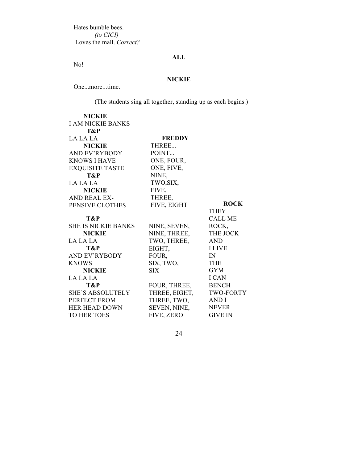Hates bumble bees. *(to CICI)* Loves the mall. *Correct?*

### **ALL**

No!

### **NICKIE**

One...more...time.

(The students sing all together, standing up as each begins.)

| <b>NICKIE</b>              |               |                  |
|----------------------------|---------------|------------------|
| <b>I AM NICKIE BANKS</b>   |               |                  |
| T&P                        |               |                  |
| LA LA LA                   | <b>FREDDY</b> |                  |
| <b>NICKIE</b>              | THREE         |                  |
| <b>AND EV'RYBODY</b>       | POINT         |                  |
| <b>KNOWS I HAVE</b>        | ONE, FOUR,    |                  |
| <b>EXQUISITE TASTE</b>     | ONE, FIVE,    |                  |
| T&P                        | NINE,         |                  |
| LA LA LA                   | TWO, SIX,     |                  |
| <b>NICKIE</b>              | FIVE,         |                  |
| <b>AND REAL EX-</b>        | THREE,        |                  |
| PENSIVE CLOTHES            | FIVE, EIGHT   | <b>ROCK</b>      |
|                            |               | <b>THEY</b>      |
| T&P                        |               | <b>CALL ME</b>   |
| <b>SHE IS NICKIE BANKS</b> | NINE, SEVEN,  | ROCK,            |
| <b>NICKIE</b>              | NINE, THREE,  | THE JOCK         |
| LA LA LA                   | TWO, THREE,   | <b>AND</b>       |
| T&P                        | EIGHT,        | I LIVE           |
| AND EV'RYBODY              | FOUR,         | IN               |
| KNOWS                      | SIX, TWO,     | <b>THE</b>       |
| <b>NICKIE</b>              | <b>SIX</b>    | <b>GYM</b>       |
| LA LA LA                   |               | I CAN            |
| T&P                        | FOUR, THREE,  | <b>BENCH</b>     |
| <b>SHE'S ABSOLUTELY</b>    | THREE, EIGHT, | <b>TWO-FORTY</b> |
| PERFECT FROM               | THREE, TWO,   | AND I            |
| <b>HER HEAD DOWN</b>       | SEVEN, NINE,  | <b>NEVER</b>     |
| TO HER TOES                | FIVE, ZERO    | <b>GIVE IN</b>   |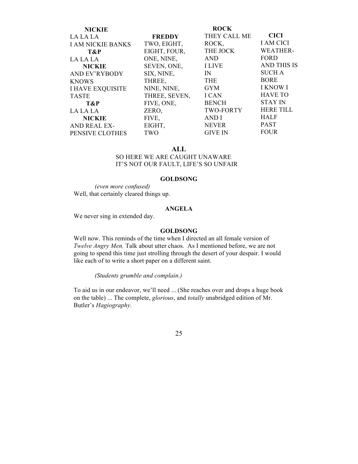|               | <b>ROCK</b>      |                    |
|---------------|------------------|--------------------|
| <b>FREDDY</b> | THEY CALL ME     | <b>CICI</b>        |
| TWO, EIGHT,   | ROCK,            | <b>I AM CICI</b>   |
| EIGHT, FOUR,  | THE JOCK         | <b>WEATHER-</b>    |
| ONE, NINE,    | <b>AND</b>       | <b>FORD</b>        |
| SEVEN, ONE,   | <b>I LIVE</b>    | <b>AND THIS IS</b> |
| SIX, NINE,    | IN               | <b>SUCH A</b>      |
| THREE,        | <b>THE</b>       | <b>BORE</b>        |
| NINE, NINE,   | <b>GYM</b>       | <b>I KNOW I</b>    |
| THREE, SEVEN, | I CAN            | <b>HAVE TO</b>     |
| FIVE, ONE,    | <b>BENCH</b>     | <b>STAY IN</b>     |
| ZERO,         | <b>TWO-FORTY</b> | <b>HERE TILL</b>   |
| FIVE,         | AND I            | <b>HALF</b>        |
| EIGHT,        | <b>NEVER</b>     | <b>PAST</b>        |
| TWO           | <b>GIVE IN</b>   | <b>FOUR</b>        |
|               |                  |                    |

### **ALL**

SO HERE WE ARE CAUGHT UNAWARE IT'S NOT OUR FAULT, LIFE'S SO UNFAIR

### **GOLDSONG**

*(even more confused)*  Well, that certainly cleared things up.

#### **ANGELA**

We never sing in extended day.

#### **GOLDSONG**

Well now. This reminds of the time when I directed an all female version of *Twelve Angry Men.* Talk about utter chaos. As I mentioned before, we are not going to spend this time just strolling through the desert of your despair. I would like each of to write a short paper on a different saint.

*(Students grumble and complain.)*

To aid us in our endeavor, we'll need ... (She reaches over and drops a huge book on the table) ... The complete, *glorious*, and *totally* unabridged edition of Mr. Butler's *Hagiography.*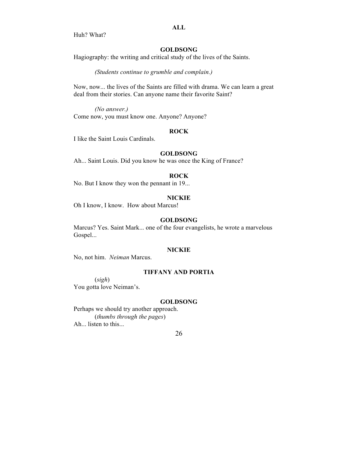Huh? What?

### **ALL**

### **GOLDSONG**

Hagiography: the writing and critical study of the lives of the Saints.

*(Students continue to grumble and complain.)*

Now, now... the lives of the Saints are filled with drama. We can learn a great deal from their stories. Can anyone name their favorite Saint?

*(No answer.)* Come now, you must know one. Anyone? Anyone?

#### **ROCK**

I like the Saint Louis Cardinals.

#### **GOLDSONG**

Ah... Saint Louis. Did you know he was once the King of France?

#### **ROCK**

No. But I know they won the pennant in 19...

#### **NICKIE**

Oh I know, I know. How about Marcus!

### **GOLDSONG**

Marcus? Yes. Saint Mark... one of the four evangelists, he wrote a marvelous Gospel...

#### **NICKIE**

No, not him. *Neiman* Marcus.

#### **TIFFANY AND PORTIA**

(*sigh*) You gotta love Neiman's.

#### **GOLDSONG**

Perhaps we should try another approach. (*thumbs through the pages*) Ah... listen to this...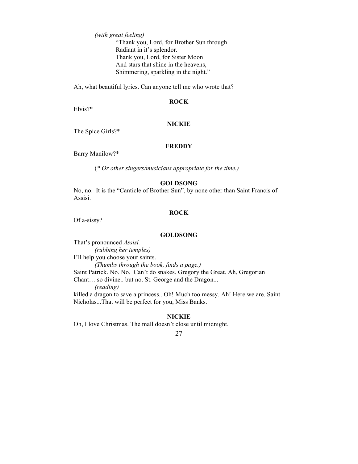*(with great feeling)*

"Thank you, Lord, for Brother Sun through Radiant in it's splendor. Thank you, Lord, for Sister Moon And stars that shine in the heavens, Shimmering, sparkling in the night."

Ah, what beautiful lyrics. Can anyone tell me who wrote that?

#### **ROCK**

Elvis?\*

#### **NICKIE**

The Spice Girls?\*

### **FREDDY**

Barry Manilow?\*

(*\* Or other singers/musicians appropriate for the time.)*

### **GOLDSONG**

No, no. It is the "Canticle of Brother Sun", by none other than Saint Francis of Assisi.

### **ROCK**

Of a-sissy?

#### **GOLDSONG**

That's pronounced *Assisi. (rubbing her temples)* I'll help you choose your saints. *(Thumbs through the book, finds a page.)* Saint Patrick. No. No. Can't do snakes. Gregory the Great. Ah, Gregorian Chant… so divine.. but no. St. George and the Dragon... *(reading)* killed a dragon to save a princess.. Oh! Much too messy. Ah! Here we are. Saint Nicholas...That will be perfect for you, Miss Banks.

### **NICKIE**

Oh, I love Christmas. The mall doesn't close until midnight.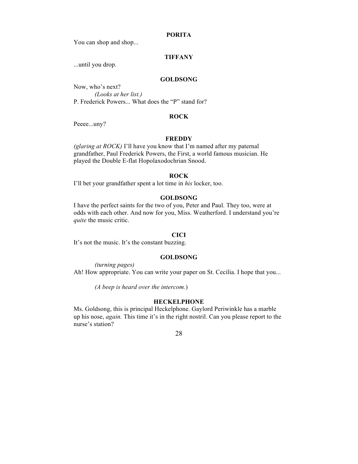#### **PORITA**

You can shop and shop...

#### **TIFFANY**

...until you drop.

#### **GOLDSONG**

Now, who's next? *(Looks at her list.)* P. Frederick Powers... What does the "P" stand for?

### **ROCK**

Peeee...uny?

#### **FREDDY**

*(glaring at ROCK)* I'll have you know that I'm named after my paternal grandfather, Paul Frederick Powers, the First, a world famous musician. He played the Double E-flat Hopolaxodochrian Snood.

#### **ROCK**

I'll bet your grandfather spent a lot time in *his* locker, too.

### **GOLDSONG**

I have the perfect saints for the two of you, Peter and Paul. They too, were at odds with each other. And now for you, Miss. Weatherford. I understand you're *quite* the music critic.

#### **CICI**

It's not the music. It's the constant buzzing.

#### **GOLDSONG**

*(turning pages)*

Ah! How appropriate. You can write your paper on St. Cecilia. I hope that you...

*(A beep is heard over the intercom.*)

### **HECKELPHONE**

Ms. Goldsong, this is principal Heckelphone. Gaylord Periwinkle has a marble up his nose, *again.* This time it's in the right nostril. Can you please report to the nurse's station?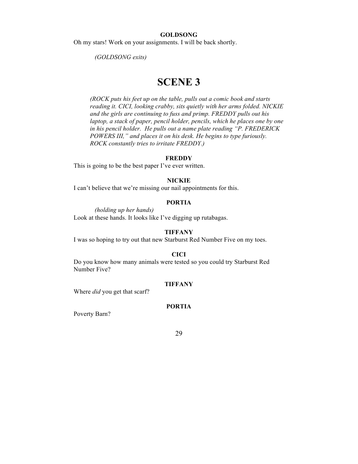#### **GOLDSONG**

Oh my stars! Work on your assignments. I will be back shortly.

*(GOLDSONG exits)*

# **SCENE 3**

*(ROCK puts his feet up on the table, pulls out a comic book and starts reading it. CICI, looking crabby, sits quietly with her arms folded. NICKIE and the girls are continuing to fuss and primp. FREDDY pulls out his laptop, a stack of paper, pencil holder, pencils, which he places one by one in his pencil holder. He pulls out a name plate reading "P. FREDERICK POWERS III," and places it on his desk. He begins to type furiously. ROCK constantly tries to irritate FREDDY.)*

#### **FREDDY**

This is going to be the best paper I've ever written.

### **NICKIE**

I can't believe that we're missing our nail appointments for this.

### **PORTIA**

*(holding up her hands)* Look at these hands. It looks like I've digging up rutabagas.

#### **TIFFANY**

I was so hoping to try out that new Starburst Red Number Five on my toes.

#### **CICI**

Do you know how many animals were tested so you could try Starburst Red Number Five?

### **TIFFANY**

Where *did* you get that scarf?

### **PORTIA**

Poverty Barn?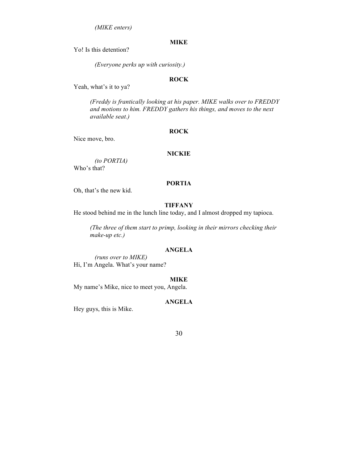*(MIKE enters)*

#### **MIKE**

Yo! Is this detention?

*(Everyone perks up with curiosity.)*

### **ROCK**

Yeah, what's it to ya?

*(Freddy is frantically looking at his paper. MIKE walks over to FREDDY and motions to him. FREDDY gathers his things, and moves to the next available seat.)*

#### **ROCK**

Nice move, bro.

#### **NICKIE**

*(to PORTIA)* Who's that?

### **PORTIA**

Oh, that's the new kid.

### **TIFFANY**

He stood behind me in the lunch line today, and I almost dropped my tapioca.

*(The three of them start to primp, looking in their mirrors checking their make-up etc.)*

### **ANGELA**

*(runs over to MIKE)* Hi, I'm Angela. What's your name?

#### **MIKE**

My name's Mike, nice to meet you, Angela.

### **ANGELA**

Hey guys, this is Mike.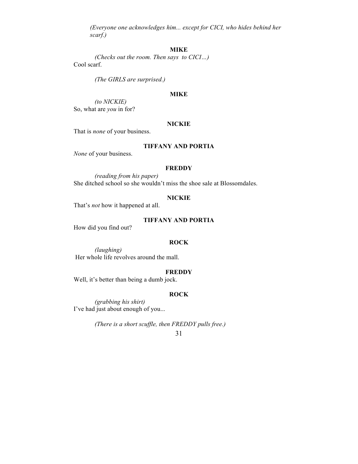*(Everyone one acknowledges him... except for CICI, who hides behind her scarf.)*

#### **MIKE**

*(Checks out the room. Then says to CICI…)* Cool scarf.

*(The GIRLS are surprised.)*

#### **MIKE**

*(to NICKIE)* So, what are *you* in for?

#### **NICKIE**

That is *none* of your business.

### **TIFFANY AND PORTIA**

*None* of your business.

#### **FREDDY**

*(reading from his paper)*  She ditched school so she wouldn't miss the shoe sale at Blossomdales.

### **NICKIE**

That's *not* how it happened at all.

### **TIFFANY AND PORTIA**

How did you find out?

### **ROCK**

*(laughing)* Her whole life revolves around the mall.

#### **FREDDY**

Well, it's better than being a dumb jock.

#### **ROCK**

*(grabbing his shirt)* I've had just about enough of you...

*(There is a short scuffle, then FREDDY pulls free.)*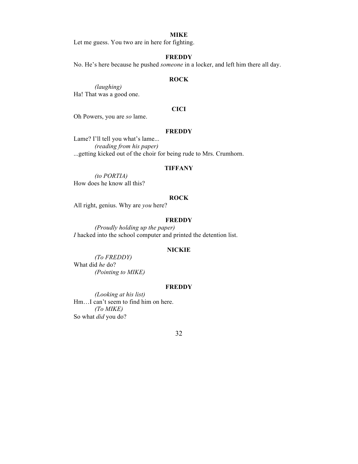#### **MIKE**

Let me guess. You two are in here for fighting.

#### **FREDDY**

No. He's here because he pushed *someone* in a locker, and left him there all day.

#### **ROCK**

*(laughing)* Ha! That was a good one.

### **CICI**

Oh Powers, you are *so* lame.

#### **FREDDY**

Lame? I'll tell you what's lame... *(reading from his paper)* ...getting kicked out of the choir for being rude to Mrs. Crumhorn.

### **TIFFANY**

*(to PORTIA)* How does he know all this?

#### **ROCK**

All right, genius. Why are *you* here?

#### **FREDDY**

*(Proudly holding up the paper) I* hacked into the school computer and printed the detention list.

### **NICKIE**

*(To FREDDY)*  What did *he* do? *(Pointing to MIKE)*

#### **FREDDY**

*(Looking at his list)* Hm…I can't seem to find him on here. *(To MIKE)* So what *did* you do?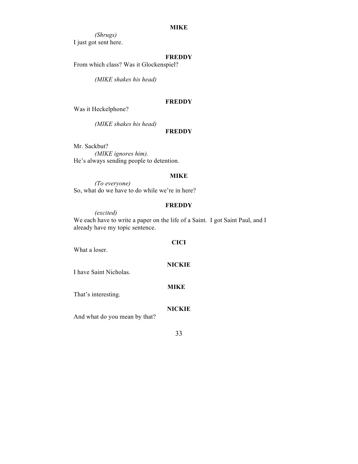### **MIKE**

*(Shrugs)* I just got sent here.

### **FREDDY**

From which class? Was it Glockenspiel?

*(MIKE shakes his head)*

#### **FREDDY**

Was it Heckelphone?

*(MIKE shakes his head)*

#### **FREDDY**

Mr. Sackbut? *(MIKE ignores him).* He's always sending people to detention.

### **MIKE**

*(To everyone)* So, what do we have to do while we're in here?

### **FREDDY**

*(excited)* We each have to write a paper on the life of a Saint. I got Saint Paul, and I already have my topic sentence.

What a loser.

# **CICI**

### **NICKIE**

I have Saint Nicholas.

### **MIKE**

That's interesting.

### **NICKIE**

And what do you mean by that?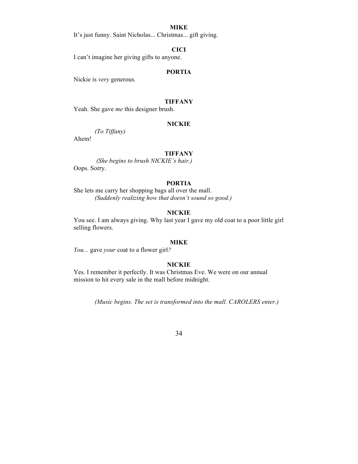#### **MIKE**

It's just funny. Saint Nicholas... Christmas... gift giving.

### **CICI**

I can't imagine her giving gifts to anyone.

### **PORTIA**

Nickie is *very* generous.

#### **TIFFANY**

Yeah. She gave *me* this designer brush.

#### **NICKIE**

*(To Tiffany)*

Ahem!

#### **TIFFANY**

*(She begins to brush NICKIE's hair.)* Oops. Sorry.

#### **PORTIA**

She lets me carry her shopping bags all over the mall. *(Suddenly realizing how that doesn't sound so good.)*

### **NICKIE**

You see. I am always giving. Why last year I gave my old coat to a poor little girl selling flowers.

#### **MIKE**

*You...* gave *your* coat to a flower girl*?*

### **NICKIE**

Yes. I remember it perfectly. It was Christmas Eve. We were on our annual mission to hit every sale in the mall before midnight.

*(Music begins. The set is transformed into the mall. CAROLERS enter.)*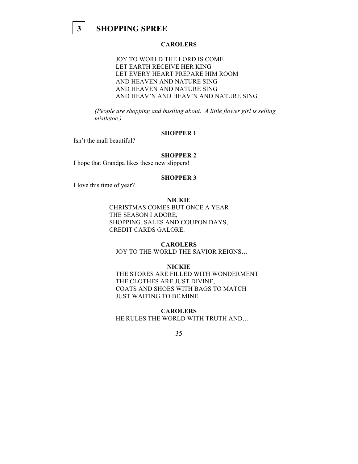**3**

**SHOPPING SPREE**

#### **CAROLERS**

JOY TO WORLD THE LORD IS COME LET EARTH RECEIVE HER KING LET EVERY HEART PREPARE HIM ROOM AND HEAVEN AND NATURE SING AND HEAVEN AND NATURE SING AND HEAV'N AND HEAV'N AND NATURE SING

*(People are shopping and bustling about. A little flower girl is selling mistletoe.)*

#### **SHOPPER 1**

Isn't the mall beautiful?

#### **SHOPPER 2**

I hope that Grandpa likes these new slippers!

#### **SHOPPER 3**

I love this time of year?

#### **NICKIE**

 CHRISTMAS COMES BUT ONCE A YEAR THE SEASON I ADORE, SHOPPING, SALES AND COUPON DAYS, CREDIT CARDS GALORE.

#### **CAROLERS**

JOY TO THE WORLD THE SAVIOR REIGNS…

#### **NICKIE**

THE STORES ARE FILLED WITH WONDERMENT THE CLOTHES ARE JUST DIVINE, COATS AND SHOES WITH BAGS TO MATCH JUST WAITING TO BE MINE.

### **CAROLERS**

HE RULES THE WORLD WITH TRUTH AND…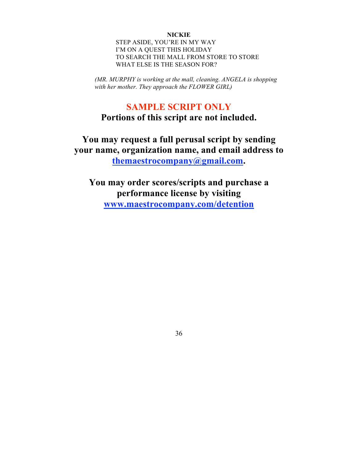#### **NICKIE**

STEP ASIDE, YOU'RE IN MY WAY I'M ON A QUEST THIS HOLIDAY TO SEARCH THE MALL FROM STORE TO STORE WHAT ELSE IS THE SEASON FOR?

*(MR. MURPHY is working at the mall, cleaning. ANGELA is shopping with her mother. They approach the FLOWER GIRL)*

# **SAMPLE SCRIPT ONLY**

**Portions of this script are not included.**

**You may request a full perusal script by sending your name, organization name, and email address to themaestrocompany@gmail.com.** 

**You may order scores/scripts and purchase a performance license by visiting www.maestrocompany.com/detention**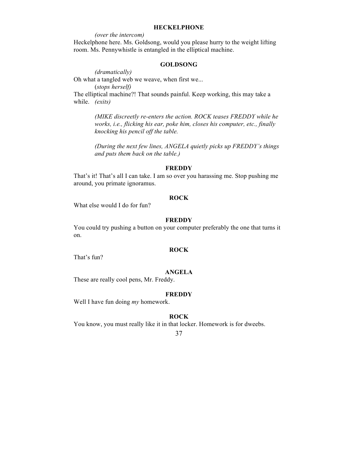#### **HECKELPHONE**

#### *(over the intercom)*

Heckelphone here. Ms. Goldsong, would you please hurry to the weight lifting room. Ms. Pennywhistle is entangled in the elliptical machine.

### **GOLDSONG**

*(dramatically)* Oh what a tangled web we weave, when first we... (*stops herself)* The elliptical machine?! That sounds painful. Keep working, this may take a while. *(exits)*

> *(MIKE discreetly re-enters the action. ROCK teases FREDDY while he works, i.e., flicking his ear, poke him, closes his computer, etc., finally knocking his pencil off the table.*

> *(During the next few lines, ANGELA quietly picks up FREDDY's things and puts them back on the table.)*

### **FREDDY**

That's it! That's all I can take. I am so over you harassing me. Stop pushing me around, you primate ignoramus.

#### **ROCK**

What else would I do for fun?

### **FREDDY**

You could try pushing a button on your computer preferably the one that turns it on.

#### **ROCK**

That's fun?

#### **ANGELA**

These are really cool pens, Mr. Freddy.

#### **FREDDY**

Well I have fun doing *my* homework.

### **ROCK**

You know, you must really like it in that locker. Homework is for dweebs.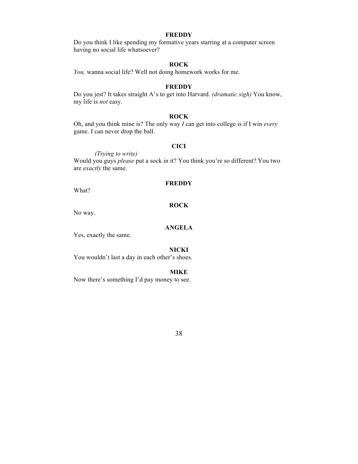### **FREDDY**

Do you think I like spending my formative years starring at a computer screen having no social life whatsoever?

### **ROCK**

*You,* wanna social life? Well not doing homework works for me.

### **FREDDY**

Do you jest? It takes straight A's to get into Harvard. *(dramatic sigh)* You know, my life is *not* easy.

### **ROCK**

Oh, and you think mine is? The only way *I* can get into college is if I win *every* game. I can never drop the ball.

### **CICI**

*(Trying to write)* Would you guys *please* put a sock in it? You think you're so different? You two are *exactly* the same.

#### **FREDDY**

What?

### **ROCK**

No way.

#### **ANGELA**

Yes, exactly the same.

#### **NICKI**

You wouldn't last a day in each other's shoes.

#### **MIKE**

Now there's something I'd pay money to see.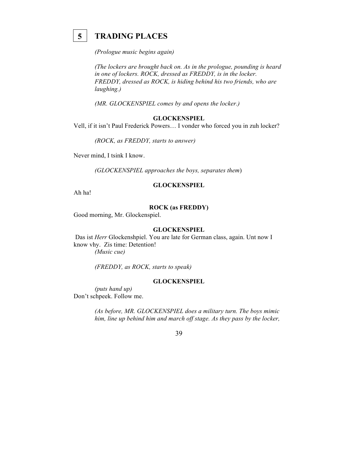# **5**

### **TRADING PLACES**

*(Prologue music begins again)*

*(The lockers are brought back on. As in the prologue, pounding is heard in one of lockers. ROCK, dressed as FREDDY, is in the locker. FREDDY, dressed as ROCK, is hiding behind his two friends, who are laughing.)* 

*(MR. GLOCKENSPIEL comes by and opens the locker.)*

#### **GLOCKENSPIEL**

Vell, if it isn't Paul Frederick Powers… I vonder who forced you in zuh locker?

*(ROCK, as FREDDY, starts to answer)*

Never mind, I tsink I know.

*(GLOCKENSPIEL approaches the boys, separates them*)

### **GLOCKENSPIEL**

Ah ha!

### **ROCK (as FREDDY)**

Good morning, Mr. Glockenspiel.

### **GLOCKENSPIEL**

 Das ist *Herr* Glockenshpiel. You are late for German class, again. Unt now I know vhy. Zis time: Detention! *(Music cue)*

*(FREDDY, as ROCK, starts to speak)*

#### **GLOCKENSPIEL**

*(puts hand up)* Don't schpeek. Follow me.

> *(As before, MR. GLOCKENSPIEL does a military turn. The boys mimic him, line up behind him and march off stage. As they pass by the locker,*

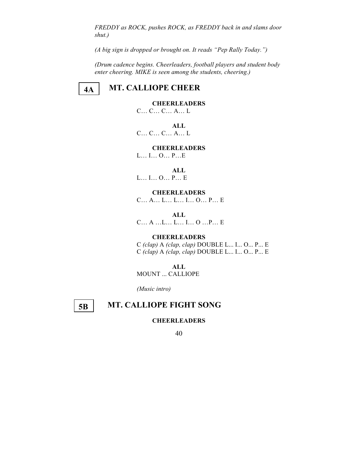*FREDDY as ROCK, pushes ROCK, as FREDDY back in and slams door shut.)*

*(A big sign is dropped or brought on. It reads "Pep Rally Today.")* 

*(Drum cadence begins. Cheerleaders, football players and student body enter cheering. MIKE is seen among the students, cheering.)*

#### **MT. CALLIOPE CHEER 4A**

### **CHEERLEADERS**

C… C… C… A… L

**ALL**

C… C… C… A… L

**CHEERLEADERS**

L… I… O… P…E

**ALL**

L… I… O… P… E

**CHEERLEADERS**

C… A… L… L… I… O… P… E

**ALL**

C… A …L… L… I… O …P… E

### **CHEERLEADERS**

C *(clap)* A *(clap, clap)* DOUBLE L... I... O... P... E C *(clap)* A *(clap, clap)* DOUBLE L... I... O... P... E

**ALL** MOUNT ... CALLIOPE

*(Music intro)*

**5B**

### **MT. CALLIOPE FIGHT SONG**

### **CHEERLEADERS**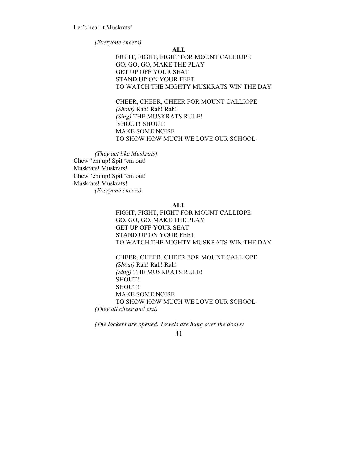Let's hear it Muskrats!

*(Everyone cheers)*

**ALL**

FIGHT, FIGHT, FIGHT FOR MOUNT CALLIOPE GO, GO, GO, MAKE THE PLAY GET UP OFF YOUR SEAT STAND UP ON YOUR FEET TO WATCH THE MIGHTY MUSKRATS WIN THE DAY

CHEER, CHEER, CHEER FOR MOUNT CALLIOPE *(Shout)* Rah! Rah! Rah! *(Sing)* THE MUSKRATS RULE! SHOUT! SHOUT! MAKE SOME NOISE TO SHOW HOW MUCH WE LOVE OUR SCHOOL

*(They act like Muskrats)* Chew 'em up! Spit 'em out! Muskrats! Muskrats! Chew 'em up! Spit 'em out! Muskrats! Muskrats! *(Everyone cheers)*

**ALL**

FIGHT, FIGHT, FIGHT FOR MOUNT CALLIOPE GO, GO, GO, MAKE THE PLAY GET UP OFF YOUR SEAT STAND UP ON YOUR FEET TO WATCH THE MIGHTY MUSKRATS WIN THE DAY

CHEER, CHEER, CHEER FOR MOUNT CALLIOPE *(Shout)* Rah! Rah! Rah! *(Sing)* THE MUSKRATS RULE! SHOUT! SHOUT! MAKE SOME NOISE TO SHOW HOW MUCH WE LOVE OUR SCHOOL *(They all cheer and exit)*

*(The lockers are opened. Towels are hung over the doors)*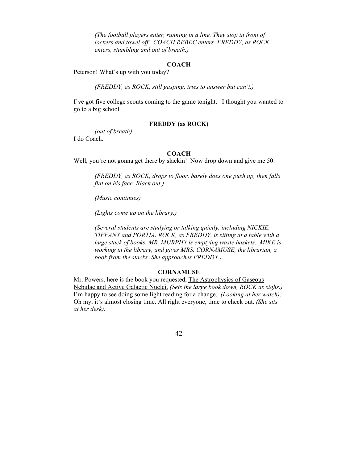*(The football players enter, running in a line. They stop in front of lockers and towel off. COACH REBEC enters. FREDDY, as ROCK, enters, stumbling and out of breath.)*

#### **COACH**

Peterson! What's up with you today?

*(FREDDY, as ROCK, still gasping, tries to answer but can't.)*

I've got five college scouts coming to the game tonight. I thought you wanted to go to a big school.

#### **FREDDY (as ROCK)**

*(out of breath)*

I do Coach.

#### **COACH**

Well, you're not gonna get there by slackin'. Now drop down and give me 50.

*(FREDDY, as ROCK, drops to floor, barely does one push up, then falls flat on his face. Black out.)*

*(Music continues)*

*(Lights come up on the library.)*

*(Several students are studying or talking quietly, including NICKIE, TIFFANY and PORTIA. ROCK, as FREDDY, is sitting at a table with a huge stack of books. MR. MURPHY is emptying waste baskets. MIKE is working in the library, and gives MRS. CORNAMUSE, the librarian, a book from the stacks. She approaches FREDDY.)* 

#### **CORNAMUSE**

Mr. Powers, here is the book you requested, The Astrophysics of Gaseous Nebulae and Active Galactic Nuclei. *(Sets the large book down, ROCK as sighs.)* I'm happy to see doing some light reading for a change. *(Looking at her watch)*. Oh my, it's almost closing time. All right everyone, time to check out. *(She sits at her desk).*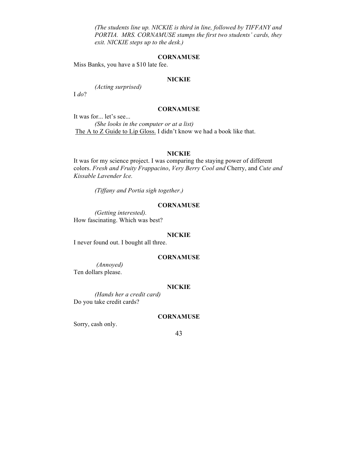*(The students line up. NICKIE is third in line, followed by TIFFANY and PORTIA. MRS. CORNAMUSE stamps the first two students' cards, they exit. NICKIE steps up to the desk.)*

#### **CORNAMUSE**

Miss Banks, you have a \$10 late fee.

#### **NICKIE**

*(Acting surprised)*

I *do*?

#### **CORNAMUSE**

It was for... let's see... *(She looks in the computer or at a list)* The A to Z Guide to Lip Gloss. I didn't know we had a book like that.

#### **NICKIE**

It was for my science project. I was comparing the staying power of different colors. *Fresh and Fruity Frappacino*, *Very Berry Cool and* Cherry, and *Cute and Kissable Lavender Ice.*

*(Tiffany and Portia sigh together.)* 

### **CORNAMUSE**

*(Getting interested).* How fascinating. Which was best?

#### **NICKIE**

I never found out. I bought all three.

#### **CORNAMUSE**

*(Annoyed)* Ten dollars please.

#### **NICKIE**

*(Hands her a credit card)* Do you take credit cards?

#### **CORNAMUSE**

Sorry, cash only.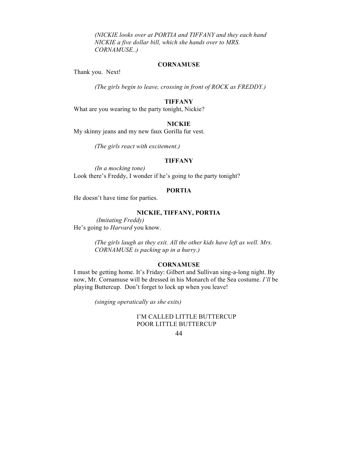*(NICKIE looks over at PORTIA and TIFFANY and they each hand NICKIE a five dollar bill, which she hands over to MRS. CORNAMUSE..)*

### **CORNAMUSE**

Thank you. Next!

*(The girls begin to leave, crossing in front of ROCK as FREDDY.)*

### **TIFFANY**

What are you wearing to the party tonight, Nickie?

### **NICKIE**

My skinny jeans and my new faux Gorilla fur vest.

*(The girls react with excitement.)* 

### **TIFFANY**

*(In a mocking tone)* Look there's Freddy, I wonder if he's going to the party tonight?

#### **PORTIA**

He doesn't have time for parties.

### **NICKIE, TIFFANY, PORTIA**

*(Imitating Freddy)* He's going to *Harvard* you know.

> *(The girls laugh as they exit. All the other kids have left as well. Mrs. CORNAMUSE is packing up in a hurry.)*

### **CORNAMUSE**

I must be getting home. It's Friday: Gilbert and Sullivan sing-a-long night. By now, Mr. Cornamuse will be dressed in his Monarch of the Sea costume. *I'll* be playing Buttercup. Don't forget to lock up when you leave!

*(singing operatically as she exits)*

I'M CALLED LITTLE BUTTERCUP POOR LITTLE BUTTERCUP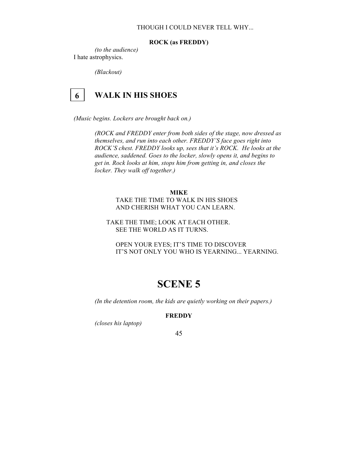### THOUGH I COULD NEVER TELL WHY...

### **ROCK (as FREDDY)**

*(to the audience)* I hate astrophysics.

*(Blackout)* 

**6**

# **WALK IN HIS SHOES**

*(Music begins. Lockers are brought back on.)*

*(ROCK and FREDDY enter from both sides of the stage, now dressed as themselves, and run into each other. FREDDY'S face goes right into ROCK'S chest. FREDDY looks up, sees that it's ROCK. He looks at the audience, saddened. Goes to the locker, slowly opens it, and begins to get in. Rock looks at him, stops him from getting in, and closes the locker. They walk off together.)*

#### **MIKE**

TAKE THE TIME TO WALK IN HIS SHOES AND CHERISH WHAT YOU CAN LEARN.

TAKE THE TIME; LOOK AT EACH OTHER. SEE THE WORLD AS IT TURNS.

OPEN YOUR EYES; IT'S TIME TO DISCOVER IT'S NOT ONLY YOU WHO IS YEARNING... YEARNING.

# **SCENE 5**

*(In the detention room, the kids are quietly working on their papers.)*

### **FREDDY**

*(closes his laptop)*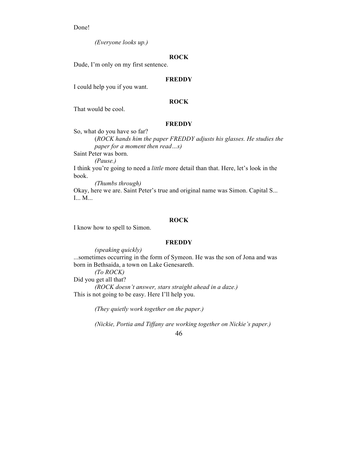Done!

*(Everyone looks up.)*

#### **ROCK**

Dude, I'm only on my first sentence.

### **FREDDY**

I could help you if you want.

#### **ROCK**

That would be cool.

#### **FREDDY**

So, what do you have so far?

(*ROCK hands him the paper FREDDY adjusts his glasses. He studies the paper for a moment then read…s)*

Saint Peter was born.

*(Pause.)*

I think you're going to need a *little* more detail than that. Here, let's look in the book.

*(Thumbs through)*

Okay, here we are. Saint Peter's true and original name was Simon. Capital S... I... M...

### **ROCK**

I know how to spell to Simon.

### **FREDDY**

*(speaking quickly)* ...sometimes occurring in the form of Symeon. He was the son of Jona and was born in Bethsaida, a town on Lake Genesareth. *(To ROCK)* Did you get all that?

*(ROCK doesn't answer, stars straight ahead in a daze.)* This is not going to be easy. Here I'll help you.

*(They quietly work together on the paper.)*

*(Nickie, Portia and Tiffany are working together on Nickie's paper.)*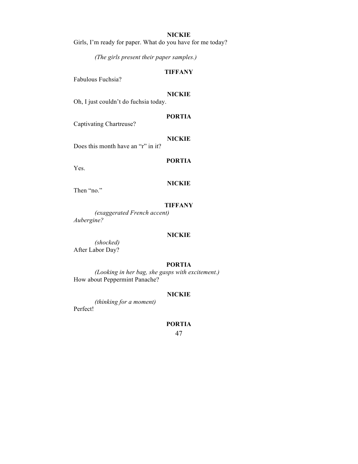#### **NICKIE**

Girls, I'm ready for paper. What do you have for me today?

*(The girls present their paper samples.)*

### **TIFFANY**

Fabulous Fuchsia?

### **NICKIE**

Oh, I just couldn't do fuchsia today.

#### **PORTIA**

Captivating Chartreuse?

### **NICKIE**

Does this month have an "r" in it?

### **PORTIA**

Yes.

### **NICKIE**

Then "no."

### **TIFFANY**

*(exaggerated French accent) Aubergine?*

#### **NICKIE**

*(shocked)* After Labor Day?

### **PORTIA**

*(Looking in her bag, she gasps with excitement.)* How about Peppermint Panache?

#### **NICKIE**

*(thinking for a moment)* Perfect!

#### **PORTIA**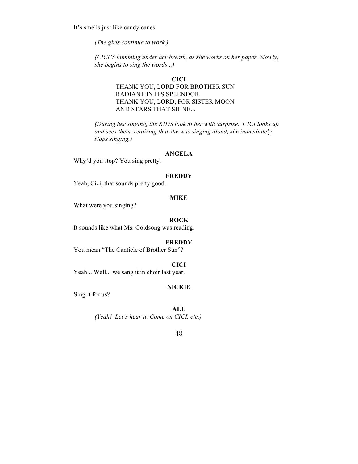It's smells just like candy canes.

*(The girls continue to work.)*

*(CICI'S humming under her breath, as she works on her paper. Slowly, she begins to sing the words...)* 

#### **CICI**

THANK YOU, LORD FOR BROTHER SUN RADIANT IN ITS SPLENDOR THANK YOU, LORD, FOR SISTER MOON AND STARS THAT SHINE...

*(During her singing, the KIDS look at her with surprise. CICI looks up and sees them, realizing that she was singing aloud, she immediately stops singing.)*

#### **ANGELA**

Why'd you stop? You sing pretty.

#### **FREDDY**

Yeah, Cici, that sounds pretty good.

#### **MIKE**

What were you singing?

#### **ROCK**

It sounds like what Ms. Goldsong was reading.

### **FREDDY**

You mean "The Canticle of Brother Sun"?

#### **CICI**

Yeah... Well... we sang it in choir last year.

#### **NICKIE**

Sing it for us?

#### **ALL**

*(Yeah! Let's hear it. Come on CICI. etc.)*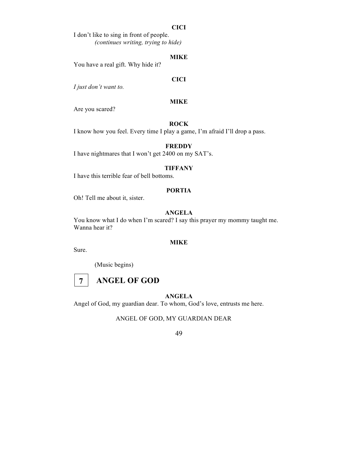#### **CICI**

I don't like to sing in front of people. *(continues writing, trying to hide)*

### **MIKE**

You have a real gift. Why hide it?

### **CICI**

*I just don't want to.*

### **MIKE**

Are you scared?

### **ROCK**

I know how you feel. Every time I play a game, I'm afraid I'll drop a pass.

### **FREDDY**

I have nightmares that I won't get 2400 on my SAT's.

### **TIFFANY**

I have this terrible fear of bell bottoms.

### **PORTIA**

Oh! Tell me about it, sister.

### **ANGELA**

You know what I do when I'm scared? I say this prayer my mommy taught me. Wanna hear it?

#### **MIKE**

Sure.

(Music begins)

**7**

### **ANGEL OF GOD**

**ANGELA**

Angel of God, my guardian dear. To whom, God's love, entrusts me here.

ANGEL OF GOD, MY GUARDIAN DEAR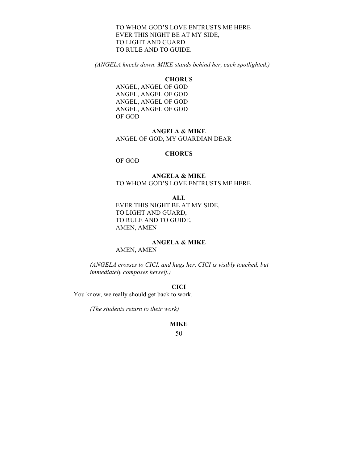TO WHOM GOD'S LOVE ENTRUSTS ME HERE EVER THIS NIGHT BE AT MY SIDE, TO LIGHT AND GUARD TO RULE AND TO GUIDE.

*(ANGELA kneels down. MIKE stands behind her, each spotlighted.)*

#### **CHORUS**

ANGEL, ANGEL OF GOD ANGEL, ANGEL OF GOD ANGEL, ANGEL OF GOD ANGEL, ANGEL OF GOD OF GOD

#### **ANGELA & MIKE**

ANGEL OF GOD, MY GUARDIAN DEAR

#### **CHORUS**

OF GOD

### **ANGELA & MIKE** TO WHOM GOD'S LOVE ENTRUSTS ME HERE

**ALL**

EVER THIS NIGHT BE AT MY SIDE, TO LIGHT AND GUARD, TO RULE AND TO GUIDE. AMEN, AMEN

### **ANGELA & MIKE**

### AMEN, AMEN

*(ANGELA crosses to CICI, and hugs her. CICI is visibly touched, but immediately composes herself.)*

#### **CICI**

You know, we really should get back to work.

*(The students return to their work)*

#### **MIKE**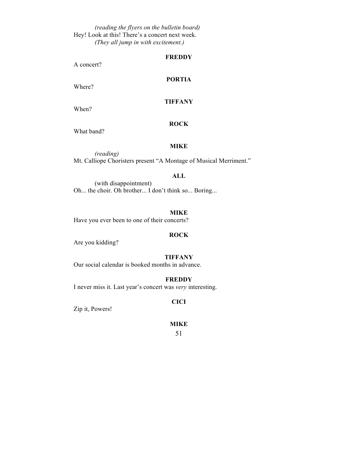### *(reading the flyers on the bulletin board)* Hey! Look at this! There's a concert next week. *(They all jump in with excitement.)*

#### **FREDDY**

A concert?

### **PORTIA**

Where?

### **TIFFANY**

When?

### **ROCK**

What band?

#### **MIKE**

*(reading)* Mt. Calliope Choristers present "A Montage of Musical Merriment."

### **ALL**

(with disappointment) Oh... the choir. Oh brother... I don't think so... Boring...

#### **MIKE**

Have you ever been to one of their concerts?

#### **ROCK**

Are you kidding?

#### **TIFFANY**

Our social calendar is booked months in advance.

### **FREDDY**

I never miss it. Last year's concert was *very* interesting.

**CICI**

Zip it, Powers!

#### **MIKE**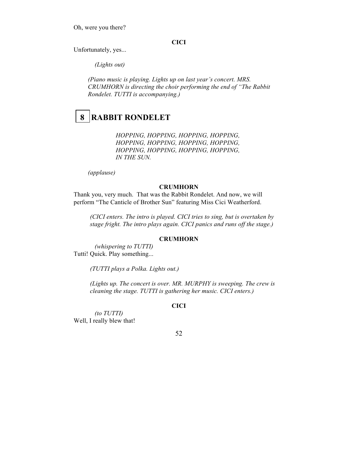Oh, were you there?

### **CICI**

Unfortunately, yes...

*(Lights out)*

*(Piano music is playing. Lights up on last year's concert. MRS. CRUMHORN is directing the choir performing the end of "The Rabbit Rondelet. TUTTI is accompanying.)* 

# **RABBIT RONDELET 8**

*HOPPING, HOPPING, HOPPING, HOPPING, HOPPING, HOPPING, HOPPING, HOPPING, HOPPING, HOPPING, HOPPING, HOPPING, IN THE SUN.*

*(applause)*

#### **CRUMHORN**

Thank you, very much. That was the Rabbit Rondelet. And now, we will perform "The Canticle of Brother Sun" featuring Miss Cici Weatherford.

*(CICI enters. The intro is played. CICI tries to sing, but is overtaken by stage fright. The intro plays again. CICI panics and runs off the stage.)*

### **CRUMHORN**

*(whispering to TUTTI)* Tutti! Quick. Play something...

*(TUTTI plays a Polka. Lights out.)*

*(Lights up. The concert is over. MR. MURPHY is sweeping. The crew is cleaning the stage. TUTTI is gathering her music. CICI enters.)*

#### **CICI**

*(to TUTTI)* Well, I really blew that!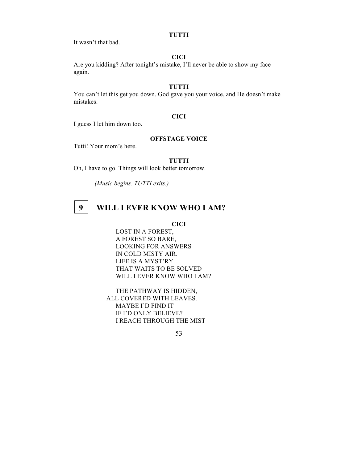#### **TUTTI**

It wasn't that bad.

#### **CICI**

Are you kidding? After tonight's mistake, I'll never be able to show my face again.

### **TUTTI**

You can't let this get you down. God gave you your voice, and He doesn't make mistakes.

### **CICI**

I guess I let him down too.

### **OFFSTAGE VOICE**

Tutti! Your mom's here.

### **TUTTI**

Oh, I have to go. Things will look better tomorrow.

*(Music begins. TUTTI exits.)*



# **WILL I EVER KNOW WHO I AM?**

### **CICI**

LOST IN A FOREST, A FOREST SO BARE, LOOKING FOR ANSWERS IN COLD MISTY AIR. LIFE IS A MYST'RY THAT WAITS TO BE SOLVED WILL I EVER KNOW WHO I AM?

THE PATHWAY IS HIDDEN, ALL COVERED WITH LEAVES. MAYBE I'D FIND IT IF I'D ONLY BELIEVE? I REACH THROUGH THE MIST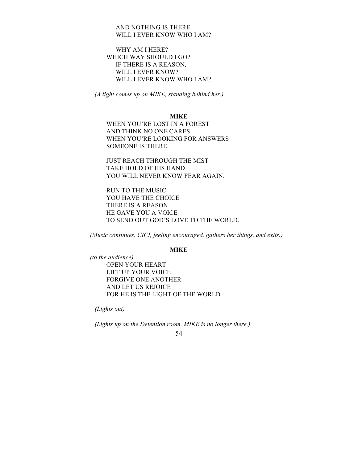#### AND NOTHING IS THERE. WILL I EVER KNOW WHO I AM?

### WHY AM I HERE? WHICH WAY SHOULD I GO? IF THERE IS A REASON, WILL I EVER KNOW? WILL I EVER KNOW WHO I AM?

*(A light comes up on MIKE, standing behind her.)*

#### **MIKE**

WHEN YOU'RE LOST IN A FOREST AND THINK NO ONE CARES WHEN YOU'RE LOOKING FOR ANSWERS SOMEONE IS THERE.

JUST REACH THROUGH THE MIST TAKE HOLD OF HIS HAND YOU WILL NEVER KNOW FEAR AGAIN.

RUN TO THE MUSIC YOU HAVE THE CHOICE THERE IS A REASON HE GAVE YOU A VOICE TO SEND OUT GOD'S LOVE TO THE WORLD.

*(Music continues. CICI, feeling encouraged, gathers her things, and exits.)*

#### **MIKE**

*(to the audience)* OPEN YOUR HEART LIFT UP YOUR VOICE FORGIVE ONE ANOTHER AND LET US REJOICE FOR HE IS THE LIGHT OF THE WORLD

*(Lights out)*

*(Lights up on the Detention room. MIKE is no longer there.)*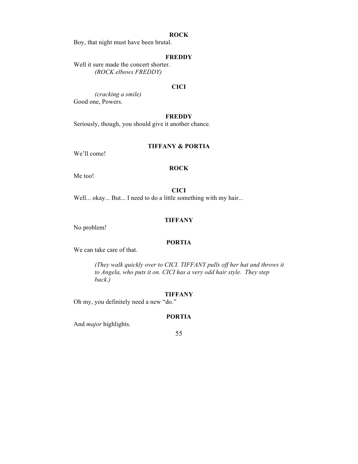### **ROCK**

Boy, that night must have been brutal.

#### **FREDDY**

Well it sure made the concert shorter. *(ROCK elbows FREDDY)*

### **CICI**

*(cracking a smile)* Good one, Powers.

### **FREDDY**

Seriously, though, you should give it another chance.

### **TIFFANY & PORTIA**

We'll come!

#### **ROCK**

Me too!

**CICI** Well... okay... But... I need to do a little something with my hair...

### **TIFFANY**

No problem!

### **PORTIA**

We can take care of that.

*(They walk quickly over to CICI. TIFFANY pulls off her hat and throws it to Angela, who puts it on. CICI has a very odd hair style. They step back.)*

#### **TIFFANY**

Oh my, you definitely need a new "do."

### **PORTIA**

And *major* highlights.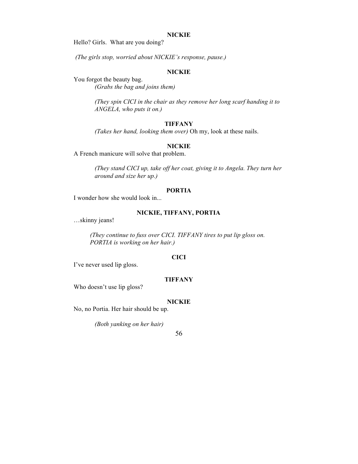#### **NICKIE**

Hello? Girls. What are you doing?

 *(The girls stop, worried about NICKIE's response, pause.)*

### **NICKIE**

You forgot the beauty bag. *(Grabs the bag and joins them)*

> *(They spin CICI in the chair as they remove her long scarf handing it to ANGELA, who puts it on.)*

#### **TIFFANY**

*(Takes her hand, looking them over)* Oh my, look at these nails.

### **NICKIE**

A French manicure will solve that problem.

*(They stand CICI up, take off her coat, giving it to Angela. They turn her around and size her up.)*

### **PORTIA**

I wonder how she would look in...

### **NICKIE, TIFFANY, PORTIA**

…skinny jeans!

*(They continue to fuss over CICI. TIFFANY tires to put lip gloss on. PORTIA is working on her hair.)*

#### **CICI**

I've never used lip gloss.

#### **TIFFANY**

Who doesn't use lip gloss?

#### **NICKIE**

No, no Portia. Her hair should be up.

*(Both yanking on her hair)*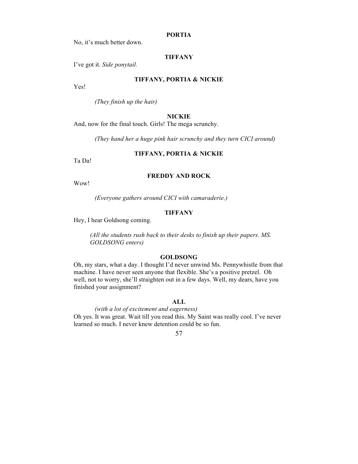#### **PORTIA**

No, it's much better down.

#### **TIFFANY**

I've got it. *Side ponytail.*

#### **TIFFANY, PORTIA & NICKIE**

Yes!

*(They finish up the hair)*

### **NICKIE**

And, now for the final touch. Girls! The mega scrunchy.

*(They hand her a huge pink hair scrunchy and they turn CICI around)* 

### **TIFFANY, PORTIA & NICKIE**

Ta Da!

### **FREDDY AND ROCK**

Wow!

*(Everyone gathers around CICI with camaraderie.)*

### **TIFFANY**

Hey, I hear Goldsong coming.

*(All the students rush back to their desks to finish up their papers. MS. GOLDSONG enters)*

#### **GOLDSONG**

Oh, my stars, what a day. I thought I'd never unwind Ms. Pennywhistle from that machine. I have never seen anyone that flexible. She's a positive pretzel. Oh well, not to worry, she'll straighten out in a few days. Well, my dears, have you finished your assignment?

#### **ALL**

*(with a lot of excitement and eagerness)* Oh yes. It was great. Wait till you read this. My Saint was really cool. I've never learned so much. I never knew detention could be so fun.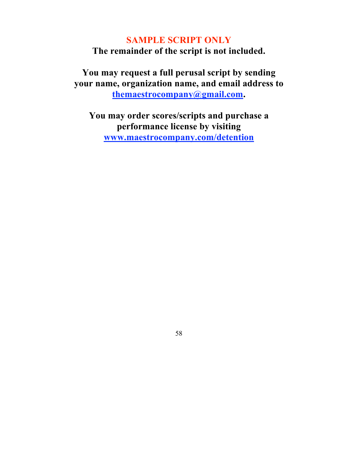# **SAMPLE SCRIPT ONLY The remainder of the script is not included.**

**You may request a full perusal script by sending your name, organization name, and email address to themaestrocompany@gmail.com.** 

**You may order scores/scripts and purchase a performance license by visiting www.maestrocompany.com/detention**